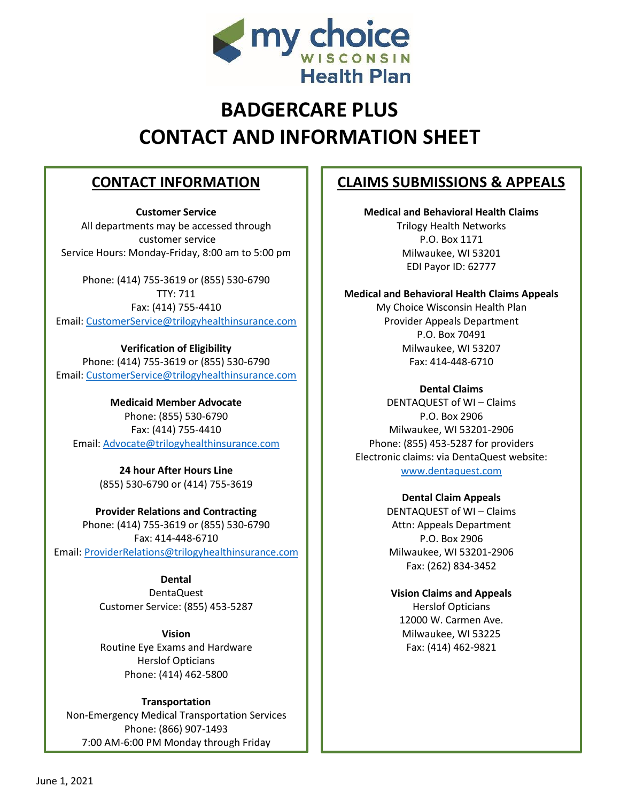

# **BADGERCARE PLUS CONTACT AND INFORMATION SHEET**

## **CONTACT INFORMATION**

**Customer Service** All departments may be accessed through customer service Service Hours: Monday-Friday, 8:00 am to 5:00 pm

Phone: (414) 755-3619 or (855) 530-6790 TTY: 711 Fax: (414) 755-4410 Email: [CustomerService@trilogyhealthinsurance.com](mailto:CustomerService@trilogyhealthinsurance.com)

**Verification of Eligibility** Phone: (414) 755-3619 or (855) 530-6790 Email: [CustomerService@trilogyhealthinsurance.com](mailto:CustomerService@trilogyhealthinsurance.com)

**Medicaid Member Advocate** Phone: (855) 530-6790 Fax: (414) 755-4410 Email: [Advocate@trilogyhealthinsurance.com](mailto:Advocate@trilogyhealthinsurance.com)

> **24 hour After Hours Line** (855) 530-6790 or (414) 755-3619

**Provider Relations and Contracting** Phone: (414) 755-3619 or (855) 530-6790 Fax: 414-448-6710 Email: [ProviderRelations@trilogyhealthinsurance.com](mailto:ProviderRelations@trilogyhealthinsurance.com)

> **Dental** DentaQuest Customer Service: (855) 453-5287

> **Vision** Routine Eye Exams and Hardware Herslof Opticians Phone: (414) 462-5800

**Transportation** Non-Emergency Medical Transportation Services Phone: (866) 907-1493 7:00 AM-6:00 PM Monday through Friday

### **CLAIMS SUBMISSIONS & APPEALS**

**Medical and Behavioral Health Claims** Trilogy Health Networks P.O. Box 1171 Milwaukee, WI 53201 EDI Payor ID: 62777

**Medical and Behavioral Health Claims Appeals** My Choice Wisconsin Health Plan Provider Appeals Department P.O. Box 70491 Milwaukee, WI 53207 Fax: 414-448-6710

**Dental Claims** DENTAQUEST of WI – Claims P.O. Box 2906 Milwaukee, WI 53201-2906 Phone: (855) 453-5287 for providers Electronic claims: via DentaQuest website: [www.dentaquest.com](http://www.dentaquest.com/)

> **Dental Claim Appeals** DENTAQUEST of WI – Claims Attn: Appeals Department P.O. Box 2906 Milwaukee, WI 53201-2906 Fax: (262) 834-3452

**Vision Claims and Appeals** Herslof Opticians 12000 W. Carmen Ave. Milwaukee, WI 53225 Fax: (414) 462-9821